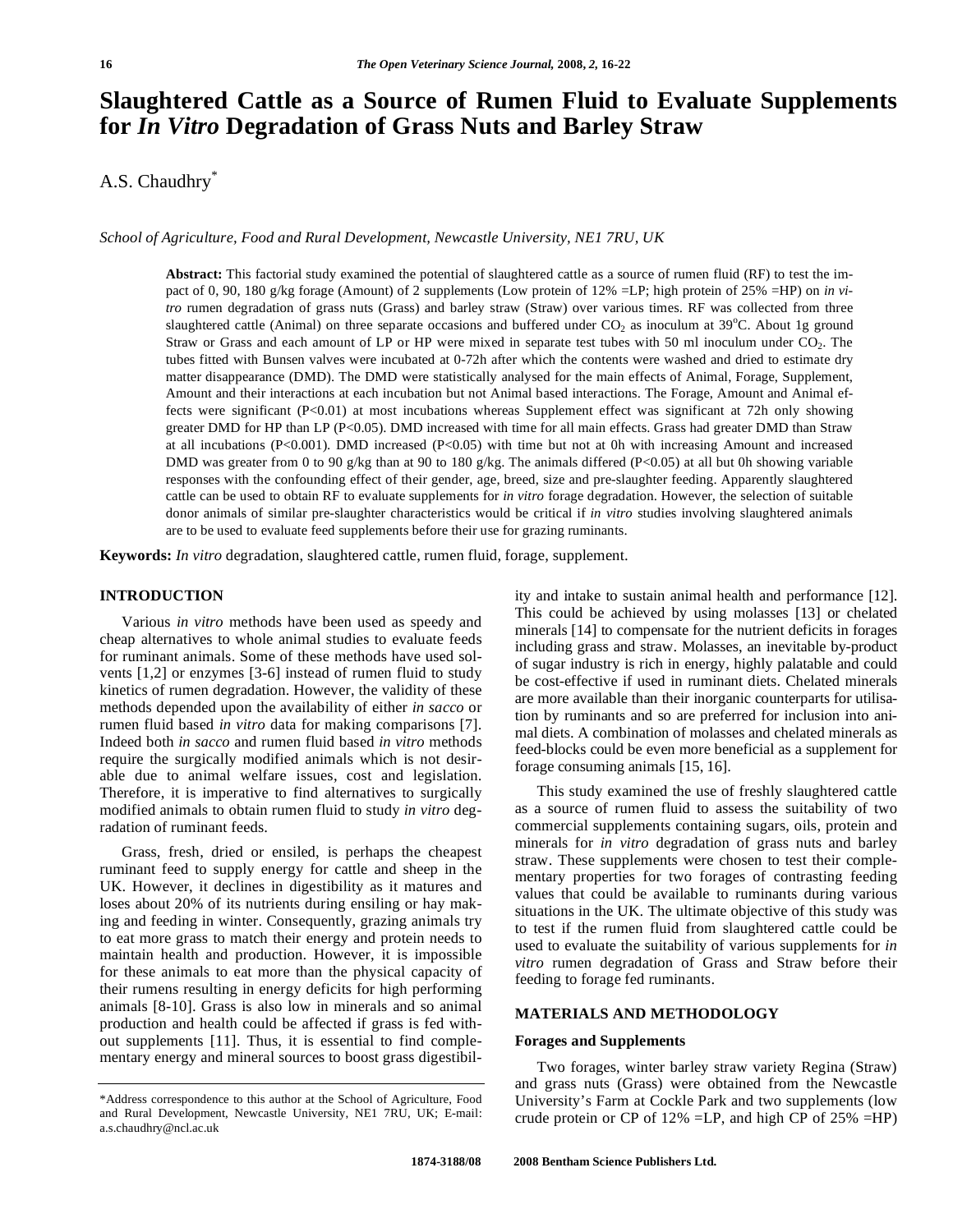# **Slaughtered Cattle as a Source of Rumen Fluid to Evaluate Supplements for** *In Vitro* **Degradation of Grass Nuts and Barley Straw**

A.S. Chaudhry\*

*School of Agriculture, Food and Rural Development, Newcastle University, NE1 7RU, UK* 

**Abstract:** This factorial study examined the potential of slaughtered cattle as a source of rumen fluid (RF) to test the impact of 0, 90, 180 g/kg forage (Amount) of 2 supplements (Low protein of 12% =LP; high protein of 25% =HP) on *in vitro* rumen degradation of grass nuts (Grass) and barley straw (Straw) over various times. RF was collected from three slaughtered cattle (Animal) on three separate occasions and buffered under  $CO_2$  as inoculum at  $39^{\circ}$ C. About 1g ground Straw or Grass and each amount of LP or HP were mixed in separate test tubes with 50 ml inoculum under CO2. The tubes fitted with Bunsen valves were incubated at 0-72h after which the contents were washed and dried to estimate dry matter disappearance (DMD). The DMD were statistically analysed for the main effects of Animal, Forage, Supplement, Amount and their interactions at each incubation but not Animal based interactions. The Forage, Amount and Animal effects were significant (P<0.01) at most incubations whereas Supplement effect was significant at 72h only showing greater DMD for HP than LP (P<0.05). DMD increased with time for all main effects. Grass had greater DMD than Straw at all incubations (P<0.001). DMD increased (P<0.05) with time but not at 0h with increasing Amount and increased DMD was greater from 0 to 90 g/kg than at 90 to 180 g/kg. The animals differed (P<0.05) at all but 0h showing variable responses with the confounding effect of their gender, age, breed, size and pre-slaughter feeding. Apparently slaughtered cattle can be used to obtain RF to evaluate supplements for *in vitro* forage degradation. However, the selection of suitable donor animals of similar pre-slaughter characteristics would be critical if *in vitro* studies involving slaughtered animals are to be used to evaluate feed supplements before their use for grazing ruminants.

**Keywords:** *In vitro* degradation, slaughtered cattle, rumen fluid, forage, supplement.

# **INTRODUCTION**

 Various *in vitro* methods have been used as speedy and cheap alternatives to whole animal studies to evaluate feeds for ruminant animals. Some of these methods have used solvents [1,2] or enzymes [3-6] instead of rumen fluid to study kinetics of rumen degradation. However, the validity of these methods depended upon the availability of either *in sacco* or rumen fluid based *in vitro* data for making comparisons [7]. Indeed both *in sacco* and rumen fluid based *in vitro* methods require the surgically modified animals which is not desirable due to animal welfare issues, cost and legislation. Therefore, it is imperative to find alternatives to surgically modified animals to obtain rumen fluid to study *in vitro* degradation of ruminant feeds.

 Grass, fresh, dried or ensiled, is perhaps the cheapest ruminant feed to supply energy for cattle and sheep in the UK. However, it declines in digestibility as it matures and loses about 20% of its nutrients during ensiling or hay making and feeding in winter. Consequently, grazing animals try to eat more grass to match their energy and protein needs to maintain health and production. However, it is impossible for these animals to eat more than the physical capacity of their rumens resulting in energy deficits for high performing animals [8-10]. Grass is also low in minerals and so animal production and health could be affected if grass is fed without supplements [11]. Thus, it is essential to find complementary energy and mineral sources to boost grass digestibility and intake to sustain animal health and performance [12]. This could be achieved by using molasses [13] or chelated minerals [14] to compensate for the nutrient deficits in forages including grass and straw. Molasses, an inevitable by-product of sugar industry is rich in energy, highly palatable and could be cost-effective if used in ruminant diets. Chelated minerals are more available than their inorganic counterparts for utilisation by ruminants and so are preferred for inclusion into animal diets. A combination of molasses and chelated minerals as feed-blocks could be even more beneficial as a supplement for forage consuming animals [15, 16].

 This study examined the use of freshly slaughtered cattle as a source of rumen fluid to assess the suitability of two commercial supplements containing sugars, oils, protein and minerals for *in vitro* degradation of grass nuts and barley straw. These supplements were chosen to test their complementary properties for two forages of contrasting feeding values that could be available to ruminants during various situations in the UK. The ultimate objective of this study was to test if the rumen fluid from slaughtered cattle could be used to evaluate the suitability of various supplements for *in vitro* rumen degradation of Grass and Straw before their feeding to forage fed ruminants.

# **MATERIALS AND METHODOLOGY**

### **Forages and Supplements**

 Two forages, winter barley straw variety Regina (Straw) and grass nuts (Grass) were obtained from the Newcastle University's Farm at Cockle Park and two supplements (low crude protein or CP of  $12\%$  =LP, and high CP of  $25\%$  =HP)

<sup>\*</sup>Address correspondence to this author at the School of Agriculture, Food and Rural Development, Newcastle University, NE1 7RU, UK; E-mail: a.s.chaudhry@ncl.ac.uk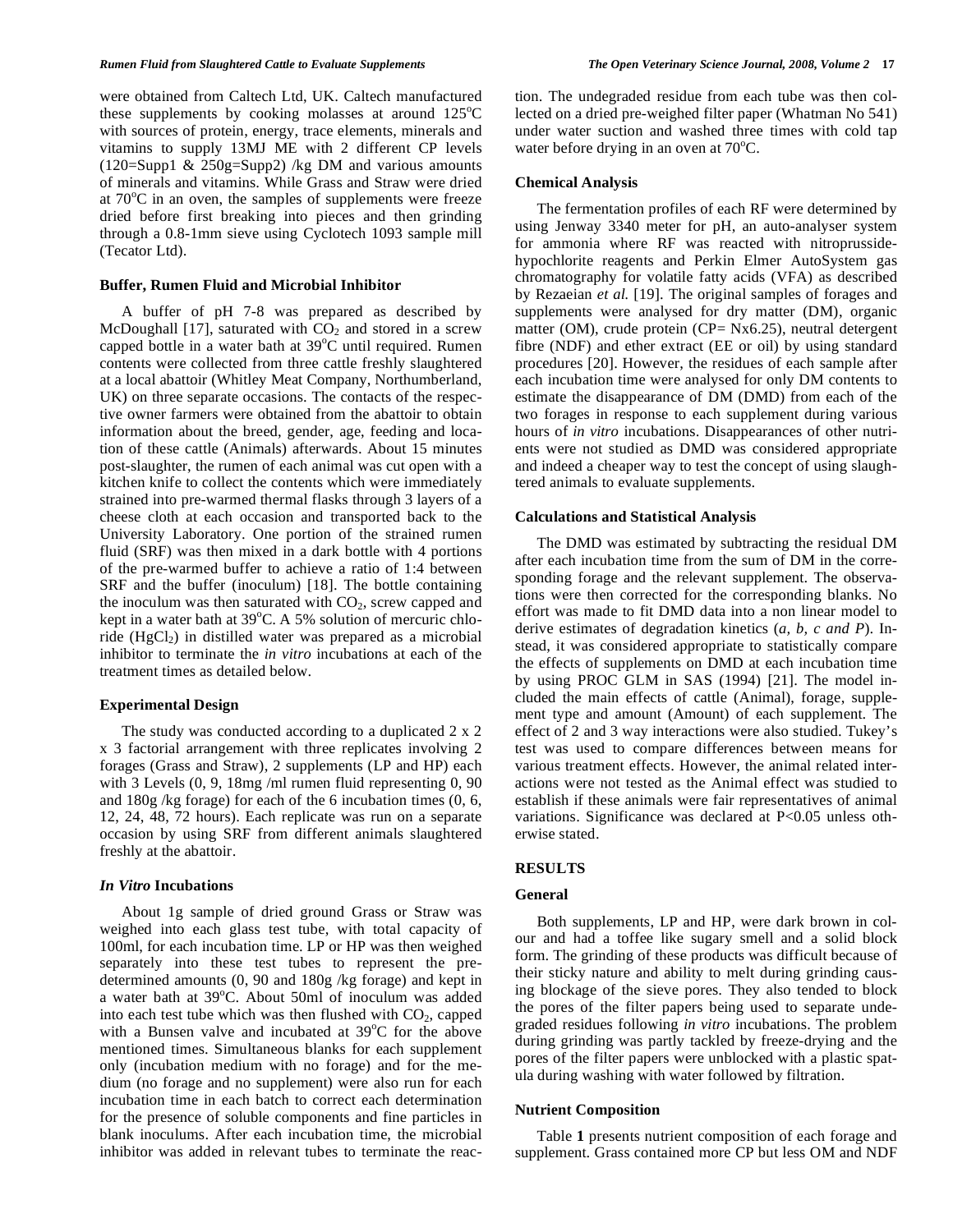were obtained from Caltech Ltd, UK. Caltech manufactured these supplements by cooking molasses at around  $125^{\circ}$ C with sources of protein, energy, trace elements, minerals and vitamins to supply 13MJ ME with 2 different CP levels (120=Supp1 & 250g=Supp2) /kg DM and various amounts of minerals and vitamins. While Grass and Straw were dried at  $70^{\circ}$ C in an oven, the samples of supplements were freeze dried before first breaking into pieces and then grinding through a 0.8-1mm sieve using Cyclotech 1093 sample mill (Tecator Ltd).

### **Buffer, Rumen Fluid and Microbial Inhibitor**

 A buffer of pH 7-8 was prepared as described by McDoughall [17], saturated with  $CO<sub>2</sub>$  and stored in a screw capped bottle in a water bath at  $39^{\circ}$ C until required. Rumen contents were collected from three cattle freshly slaughtered at a local abattoir (Whitley Meat Company, Northumberland, UK) on three separate occasions. The contacts of the respective owner farmers were obtained from the abattoir to obtain information about the breed, gender, age, feeding and location of these cattle (Animals) afterwards. About 15 minutes post-slaughter, the rumen of each animal was cut open with a kitchen knife to collect the contents which were immediately strained into pre-warmed thermal flasks through 3 layers of a cheese cloth at each occasion and transported back to the University Laboratory. One portion of the strained rumen fluid (SRF) was then mixed in a dark bottle with 4 portions of the pre-warmed buffer to achieve a ratio of 1:4 between SRF and the buffer (inoculum) [18]. The bottle containing the inoculum was then saturated with  $CO<sub>2</sub>$ , screw capped and kept in a water bath at  $39^{\circ}$ C. A 5% solution of mercuric chloride ( $HgCl<sub>2</sub>$ ) in distilled water was prepared as a microbial inhibitor to terminate the *in vitro* incubations at each of the treatment times as detailed below.

#### **Experimental Design**

 The study was conducted according to a duplicated 2 x 2 x 3 factorial arrangement with three replicates involving 2 forages (Grass and Straw), 2 supplements (LP and HP) each with 3 Levels (0, 9, 18mg /ml rumen fluid representing 0, 90 and 180g /kg forage) for each of the 6 incubation times (0, 6, 12, 24, 48, 72 hours). Each replicate was run on a separate occasion by using SRF from different animals slaughtered freshly at the abattoir.

#### *In Vitro* **Incubations**

 About 1g sample of dried ground Grass or Straw was weighed into each glass test tube, with total capacity of 100ml, for each incubation time. LP or HP was then weighed separately into these test tubes to represent the predetermined amounts (0, 90 and 180g /kg forage) and kept in a water bath at 39°C. About 50ml of inoculum was added into each test tube which was then flushed with  $CO<sub>2</sub>$ , capped with a Bunsen valve and incubated at  $39^{\circ}$ C for the above mentioned times. Simultaneous blanks for each supplement only (incubation medium with no forage) and for the medium (no forage and no supplement) were also run for each incubation time in each batch to correct each determination for the presence of soluble components and fine particles in blank inoculums. After each incubation time, the microbial inhibitor was added in relevant tubes to terminate the reaction. The undegraded residue from each tube was then collected on a dried pre-weighed filter paper (Whatman No 541) under water suction and washed three times with cold tap water before drying in an oven at  $70^{\circ}$ C.

#### **Chemical Analysis**

 The fermentation profiles of each RF were determined by using Jenway 3340 meter for pH, an auto-analyser system for ammonia where RF was reacted with nitroprussidehypochlorite reagents and Perkin Elmer AutoSystem gas chromatography for volatile fatty acids (VFA) as described by Rezaeian *et al.* [19]. The original samples of forages and supplements were analysed for dry matter (DM), organic matter (OM), crude protein (CP= Nx6.25), neutral detergent fibre (NDF) and ether extract (EE or oil) by using standard procedures [20]. However, the residues of each sample after each incubation time were analysed for only DM contents to estimate the disappearance of DM (DMD) from each of the two forages in response to each supplement during various hours of *in vitro* incubations. Disappearances of other nutrients were not studied as DMD was considered appropriate and indeed a cheaper way to test the concept of using slaughtered animals to evaluate supplements.

#### **Calculations and Statistical Analysis**

 The DMD was estimated by subtracting the residual DM after each incubation time from the sum of DM in the corresponding forage and the relevant supplement. The observations were then corrected for the corresponding blanks. No effort was made to fit DMD data into a non linear model to derive estimates of degradation kinetics (*a, b, c and P*). Instead, it was considered appropriate to statistically compare the effects of supplements on DMD at each incubation time by using PROC GLM in SAS (1994) [21]. The model included the main effects of cattle (Animal), forage, supplement type and amount (Amount) of each supplement. The effect of 2 and 3 way interactions were also studied. Tukey's test was used to compare differences between means for various treatment effects. However, the animal related interactions were not tested as the Animal effect was studied to establish if these animals were fair representatives of animal variations. Significance was declared at P<0.05 unless otherwise stated.

# **RESULTS**

## **General**

 Both supplements, LP and HP, were dark brown in colour and had a toffee like sugary smell and a solid block form. The grinding of these products was difficult because of their sticky nature and ability to melt during grinding causing blockage of the sieve pores. They also tended to block the pores of the filter papers being used to separate undegraded residues following *in vitro* incubations. The problem during grinding was partly tackled by freeze-drying and the pores of the filter papers were unblocked with a plastic spatula during washing with water followed by filtration.

## **Nutrient Composition**

 Table **1** presents nutrient composition of each forage and supplement. Grass contained more CP but less OM and NDF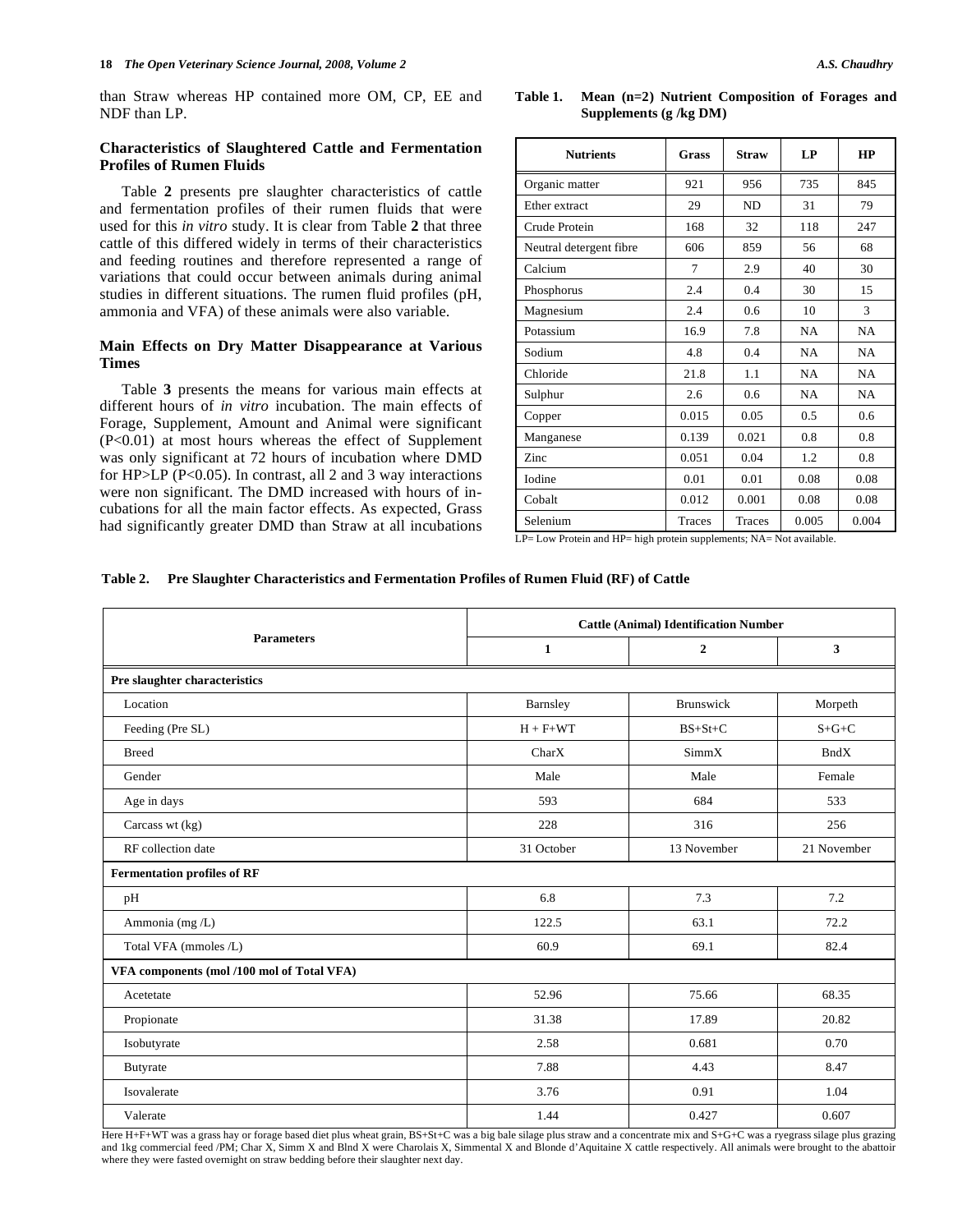than Straw whereas HP contained more OM, CP, EE and NDF than LP.

# **Characteristics of Slaughtered Cattle and Fermentation Profiles of Rumen Fluids**

 Table **2** presents pre slaughter characteristics of cattle and fermentation profiles of their rumen fluids that were used for this *in vitro* study. It is clear from Table **2** that three cattle of this differed widely in terms of their characteristics and feeding routines and therefore represented a range of variations that could occur between animals during animal studies in different situations. The rumen fluid profiles (pH, ammonia and VFA) of these animals were also variable.

# **Main Effects on Dry Matter Disappearance at Various Times**

 Table **3** presents the means for various main effects at different hours of *in vitro* incubation. The main effects of Forage, Supplement, Amount and Animal were significant (P<0.01) at most hours whereas the effect of Supplement was only significant at 72 hours of incubation where DMD for HP>LP (P<0.05). In contrast, all 2 and 3 way interactions were non significant. The DMD increased with hours of incubations for all the main factor effects. As expected, Grass had significantly greater DMD than Straw at all incubations

# **Table 1. Mean (n=2) Nutrient Composition of Forages and Supplements (g /kg DM)**

| <b>Nutrients</b>        | Grass  | <b>Straw</b>   | LP        | HP        |  |
|-------------------------|--------|----------------|-----------|-----------|--|
| Organic matter          | 921    | 956            | 735       | 845       |  |
| Ether extract           | 29     | N <sub>D</sub> | 31        | 79        |  |
| Crude Protein           | 168    | 32             | 118       | 247       |  |
| Neutral detergent fibre | 606    | 859            | 56        | 68        |  |
| Calcium                 | 7      | 2.9            | 40        | 30        |  |
| Phosphorus              | 2.4    | 0.4            | 30        | 15        |  |
| Magnesium               | 2.4    | 0.6            | 10        | 3         |  |
| Potassium               | 16.9   | 7.8            | NA        | NA        |  |
| Sodium                  | 4.8    | 0.4            | <b>NA</b> | <b>NA</b> |  |
| Chloride                | 21.8   | 1.1            | <b>NA</b> | NA        |  |
| Sulphur                 | 2.6    | 0.6            | <b>NA</b> | <b>NA</b> |  |
| Copper                  | 0.015  | 0.05           | 0.5       | 0.6       |  |
| Manganese               | 0.139  | 0.021          | 0.8       | 0.8       |  |
| Zinc                    | 0.051  | 0.04           | 1.2       | 0.8       |  |
| <b>Iodine</b>           | 0.01   | 0.01           | 0.08      | 0.08      |  |
| Cobalt                  | 0.012  | 0.001          | 0.08      | 0.08      |  |
| Selenium                | Traces | Traces         | 0.005     | 0.004     |  |

 $LP = Low$  Protein and  $HP = high$  protein supplements;  $NA = Not$  available.

#### **Table 2. Pre Slaughter Characteristics and Fermentation Profiles of Rumen Fluid (RF) of Cattle**

|                                            | <b>Cattle (Animal) Identification Number</b> |                  |              |  |  |  |
|--------------------------------------------|----------------------------------------------|------------------|--------------|--|--|--|
| <b>Parameters</b>                          | $\mathbf{1}$                                 | $\mathbf{2}$     | $\mathbf{3}$ |  |  |  |
| Pre slaughter characteristics              |                                              |                  |              |  |  |  |
| Location                                   | Barnsley                                     | <b>Brunswick</b> | Morpeth      |  |  |  |
| Feeding (Pre SL)                           | $H + F + WT$                                 | $BS+St+C$        | $S + G + C$  |  |  |  |
| <b>Breed</b>                               | CharX                                        | SimmX            | <b>BndX</b>  |  |  |  |
| Gender                                     | Male                                         | Male             | Female       |  |  |  |
| Age in days                                | 593                                          | 684              | 533          |  |  |  |
| Carcass wt (kg)                            | 228                                          | 316              | 256          |  |  |  |
| RF collection date                         | 31 October                                   | 13 November      | 21 November  |  |  |  |
| <b>Fermentation profiles of RF</b>         |                                              |                  |              |  |  |  |
| pH                                         | 6.8                                          | 7.3              | 7.2          |  |  |  |
| Ammonia (mg/L)                             | 122.5                                        | 63.1             | 72.2         |  |  |  |
| Total VFA (mmoles /L)                      | 60.9                                         | 69.1             | 82.4         |  |  |  |
| VFA components (mol /100 mol of Total VFA) |                                              |                  |              |  |  |  |
| Acetetate                                  | 52.96                                        | 75.66            | 68.35        |  |  |  |
| Propionate                                 | 31.38                                        | 17.89            | 20.82        |  |  |  |
| Isobutyrate                                | 2.58                                         | 0.681            | 0.70         |  |  |  |
| Butyrate                                   | 7.88                                         | 4.43             | 8.47         |  |  |  |
| Isovalerate                                | 3.76                                         | 0.91             | 1.04         |  |  |  |
| Valerate                                   | 1.44                                         | 0.427            | 0.607        |  |  |  |

Here H+F+WT was a grass hay or forage based diet plus wheat grain, BS+St+C was a big bale silage plus straw and a concentrate mix and S+G+C was a ryegrass silage plus grazing and 1kg commercial feed /PM; Char X, Simm X and Blnd X were Charolais X, Simmental X and Blonde d'Aquitaine X cattle respectively. All animals were brought to the abattoir where they were fasted overnight on straw bedding before their slaughter next day.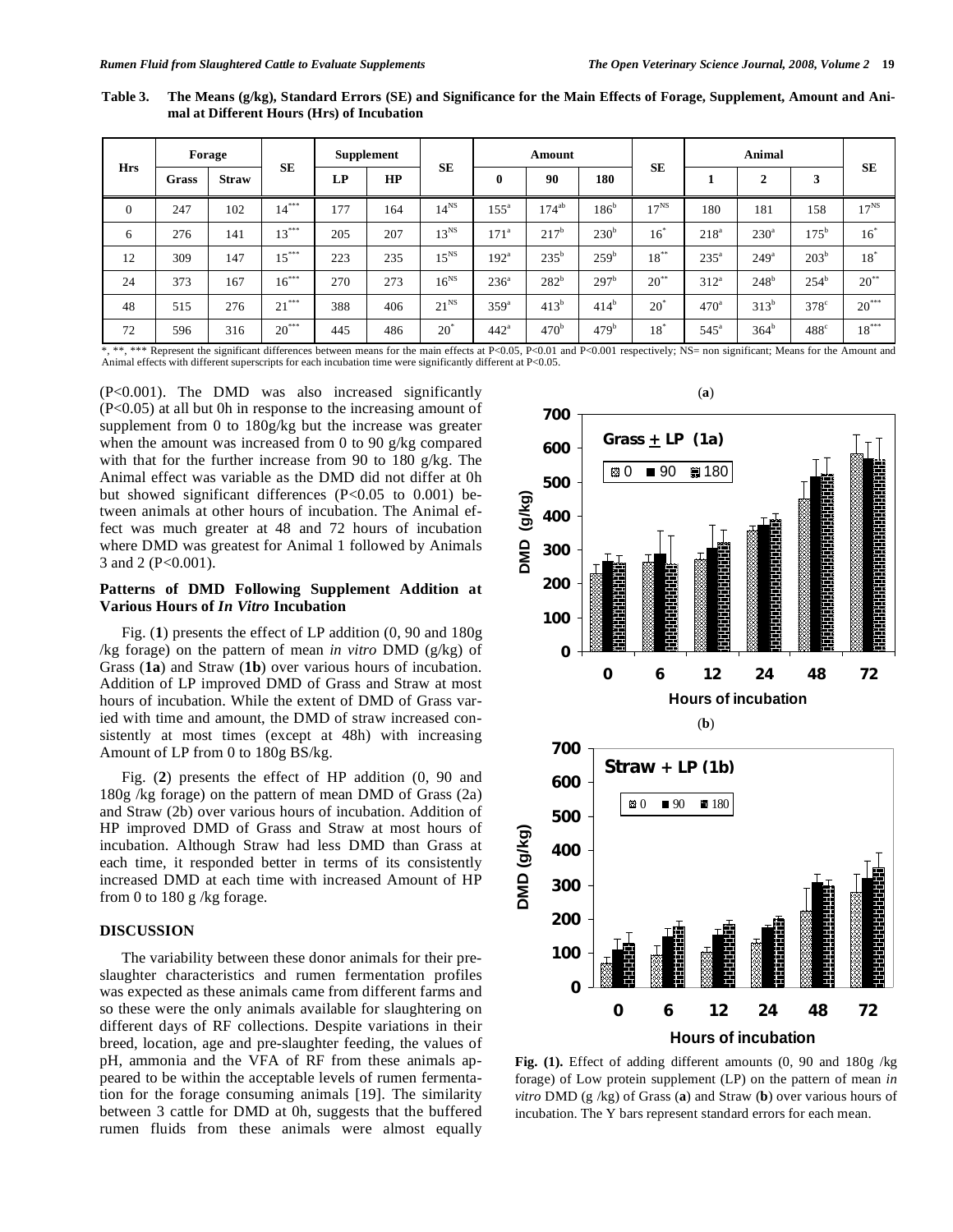**Table 3. The Means (g/kg), Standard Errors (SE) and Significance for the Main Effects of Forage, Supplement, Amount and Animal at Different Hours (Hrs) of Incubation** 

| <b>Hrs</b> | Forage |              |           | <b>Supplement</b> |     |                | Amount           |                  |                  | <b>Animal</b> |                  |                  |                  |                |
|------------|--------|--------------|-----------|-------------------|-----|----------------|------------------|------------------|------------------|---------------|------------------|------------------|------------------|----------------|
|            | Grass  | <b>Straw</b> | <b>SE</b> | LP                | HP  | <b>SE</b>      | $\mathbf 0$      | 90               | 180              | <b>SE</b>     |                  | $\overline{2}$   | 3                | <b>SE</b>      |
| $\theta$   | 247    | 102          | $14***$   | 177               | 164 | $14^{NS}$      | $155^{\circ}$    | $174^{ab}$       | 186 <sup>b</sup> | $17^{NS}$     | 180              | 181              | 158              | $17^{NS}$      |
| 6          | 276    | 141          | $13***$   | 205               | 207 | $13^{NS}$      | 171 <sup>a</sup> | 217 <sup>b</sup> | 230 <sup>b</sup> | $16^*$        | 218 <sup>a</sup> | $230^{\circ}$    | $175^{\rm b}$    | $16^{\degree}$ |
| 12         | 309    | 147          | $15***$   | 223               | 235 | $15^{NS}$      | 192 <sup>a</sup> | $235^{\circ}$    | 259 <sup>b</sup> | $18***$       | $235^{\circ}$    | 249 <sup>a</sup> | 203 <sup>b</sup> | $18^*$         |
| 24         | 373    | 167          | $16***$   | 270               | 273 | $16^{NS}$      | 236 <sup>a</sup> | $282^{b}$        | 297 <sup>b</sup> | $20^{**}$     | 312 <sup>a</sup> | $248^{b}$        | 254 <sup>b</sup> | $20^{**}$      |
| 48         | 515    | 276          | $21***$   | 388               | 406 | $21^{NS}$      | 359 <sup>a</sup> | 413 <sup>b</sup> | 414 <sup>b</sup> | $20^{\circ}$  | 470 <sup>a</sup> | 313 <sup>b</sup> | $378^\circ$      | $20***$        |
| 72         | 596    | 316          | $20***$   | 445               | 486 | $20^{\degree}$ | 442 <sup>a</sup> | 470 <sup>b</sup> | 479 <sup>b</sup> | $18^*$        | $545^{\circ}$    | 364 <sup>b</sup> | $488^\circ$      | $18***$        |

\*, \*\*, \*\*\* Represent the significant differences between means for the main effects at P<0.05, P<0.01 and P<0.001 respectively; NS= non significant; Means for the Amount and Animal effects with different superscripts for each incubation time were significantly different at P<0.05.

(P<0.001). The DMD was also increased significantly (P<0.05) at all but 0h in response to the increasing amount of supplement from 0 to 180g/kg but the increase was greater when the amount was increased from 0 to 90 g/kg compared with that for the further increase from 90 to 180 g/kg. The Animal effect was variable as the DMD did not differ at 0h but showed significant differences (P<0.05 to 0.001) between animals at other hours of incubation. The Animal effect was much greater at 48 and 72 hours of incubation where DMD was greatest for Animal 1 followed by Animals 3 and 2 (P<0.001).

# **Patterns of DMD Following Supplement Addition at Various Hours of** *In Vitro* **Incubation**

 Fig. (**1**) presents the effect of LP addition (0, 90 and 180g /kg forage) on the pattern of mean *in vitro* DMD (g/kg) of Grass (**1a**) and Straw (**1b**) over various hours of incubation. Addition of LP improved DMD of Grass and Straw at most hours of incubation. While the extent of DMD of Grass varied with time and amount, the DMD of straw increased consistently at most times (except at 48h) with increasing Amount of LP from 0 to 180g BS/kg.

 Fig. (**2**) presents the effect of HP addition (0, 90 and 180g /kg forage) on the pattern of mean DMD of Grass (2a) and Straw (2b) over various hours of incubation. Addition of HP improved DMD of Grass and Straw at most hours of incubation. Although Straw had less DMD than Grass at each time, it responded better in terms of its consistently increased DMD at each time with increased Amount of HP from 0 to 180 g /kg forage.

# **DISCUSSION**

 The variability between these donor animals for their preslaughter characteristics and rumen fermentation profiles was expected as these animals came from different farms and so these were the only animals available for slaughtering on different days of RF collections. Despite variations in their breed, location, age and pre-slaughter feeding, the values of pH, ammonia and the VFA of RF from these animals appeared to be within the acceptable levels of rumen fermentation for the forage consuming animals [19]. The similarity between 3 cattle for DMD at 0h, suggests that the buffered rumen fluids from these animals were almost equally



**Fig. (1).** Effect of adding different amounts (0, 90 and 180g /kg forage) of Low protein supplement (LP) on the pattern of mean *in vitro* DMD (g /kg) of Grass (**a**) and Straw (**b**) over various hours of incubation. The Y bars represent standard errors for each mean.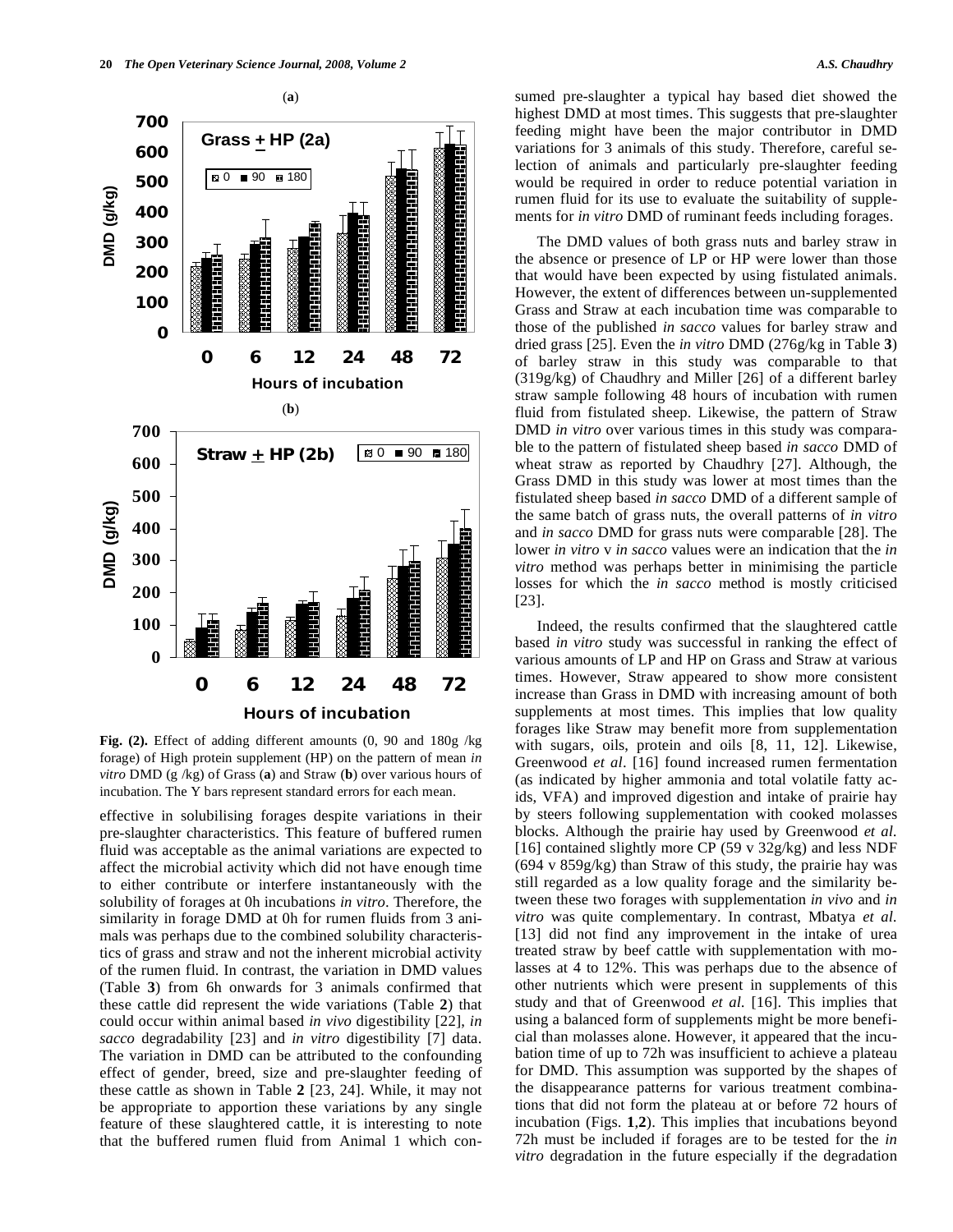

**Fig. (2).** Effect of adding different amounts (0, 90 and 180g /kg forage) of High protein supplement (HP) on the pattern of mean *in vitro* DMD (g /kg) of Grass (**a**) and Straw (**b**) over various hours of incubation. The Y bars represent standard errors for each mean.

effective in solubilising forages despite variations in their pre-slaughter characteristics. This feature of buffered rumen fluid was acceptable as the animal variations are expected to affect the microbial activity which did not have enough time to either contribute or interfere instantaneously with the solubility of forages at 0h incubations *in vitro*. Therefore, the similarity in forage DMD at 0h for rumen fluids from 3 animals was perhaps due to the combined solubility characteristics of grass and straw and not the inherent microbial activity of the rumen fluid. In contrast, the variation in DMD values (Table **3**) from 6h onwards for 3 animals confirmed that these cattle did represent the wide variations (Table **2**) that could occur within animal based *in vivo* digestibility [22], *in sacco* degradability [23] and *in vitro* digestibility [7] data. The variation in DMD can be attributed to the confounding effect of gender, breed, size and pre-slaughter feeding of these cattle as shown in Table **2** [23, 24]. While, it may not be appropriate to apportion these variations by any single feature of these slaughtered cattle, it is interesting to note that the buffered rumen fluid from Animal 1 which consumed pre-slaughter a typical hay based diet showed the highest DMD at most times. This suggests that pre-slaughter feeding might have been the major contributor in DMD variations for 3 animals of this study. Therefore, careful selection of animals and particularly pre-slaughter feeding would be required in order to reduce potential variation in rumen fluid for its use to evaluate the suitability of supplements for *in vitro* DMD of ruminant feeds including forages.

 The DMD values of both grass nuts and barley straw in the absence or presence of LP or HP were lower than those that would have been expected by using fistulated animals. However, the extent of differences between un-supplemented Grass and Straw at each incubation time was comparable to those of the published *in sacco* values for barley straw and dried grass [25]. Even the *in vitro* DMD (276g/kg in Table **3**) of barley straw in this study was comparable to that (319g/kg) of Chaudhry and Miller [26] of a different barley straw sample following 48 hours of incubation with rumen fluid from fistulated sheep. Likewise, the pattern of Straw DMD *in vitro* over various times in this study was comparable to the pattern of fistulated sheep based *in sacco* DMD of wheat straw as reported by Chaudhry [27]. Although, the Grass DMD in this study was lower at most times than the fistulated sheep based *in sacco* DMD of a different sample of the same batch of grass nuts, the overall patterns of *in vitro* and *in sacco* DMD for grass nuts were comparable [28]. The lower *in vitro* v *in sacco* values were an indication that the *in vitro* method was perhaps better in minimising the particle losses for which the *in sacco* method is mostly criticised [23].

 Indeed, the results confirmed that the slaughtered cattle based *in vitro* study was successful in ranking the effect of various amounts of LP and HP on Grass and Straw at various times. However, Straw appeared to show more consistent increase than Grass in DMD with increasing amount of both supplements at most times. This implies that low quality forages like Straw may benefit more from supplementation with sugars, oils, protein and oils [8, 11, 12]. Likewise, Greenwood *et al*. [16] found increased rumen fermentation (as indicated by higher ammonia and total volatile fatty acids, VFA) and improved digestion and intake of prairie hay by steers following supplementation with cooked molasses blocks. Although the prairie hay used by Greenwood *et al.* [16] contained slightly more CP (59 v 32g/kg) and less NDF (694 v 859g/kg) than Straw of this study, the prairie hay was still regarded as a low quality forage and the similarity between these two forages with supplementation *in vivo* and *in vitro* was quite complementary. In contrast, Mbatya *et al.* [13] did not find any improvement in the intake of urea treated straw by beef cattle with supplementation with molasses at 4 to 12%. This was perhaps due to the absence of other nutrients which were present in supplements of this study and that of Greenwood *et al.* [16]. This implies that using a balanced form of supplements might be more beneficial than molasses alone. However, it appeared that the incubation time of up to 72h was insufficient to achieve a plateau for DMD. This assumption was supported by the shapes of the disappearance patterns for various treatment combinations that did not form the plateau at or before 72 hours of incubation (Figs. **1**,**2**). This implies that incubations beyond 72h must be included if forages are to be tested for the *in vitro* degradation in the future especially if the degradation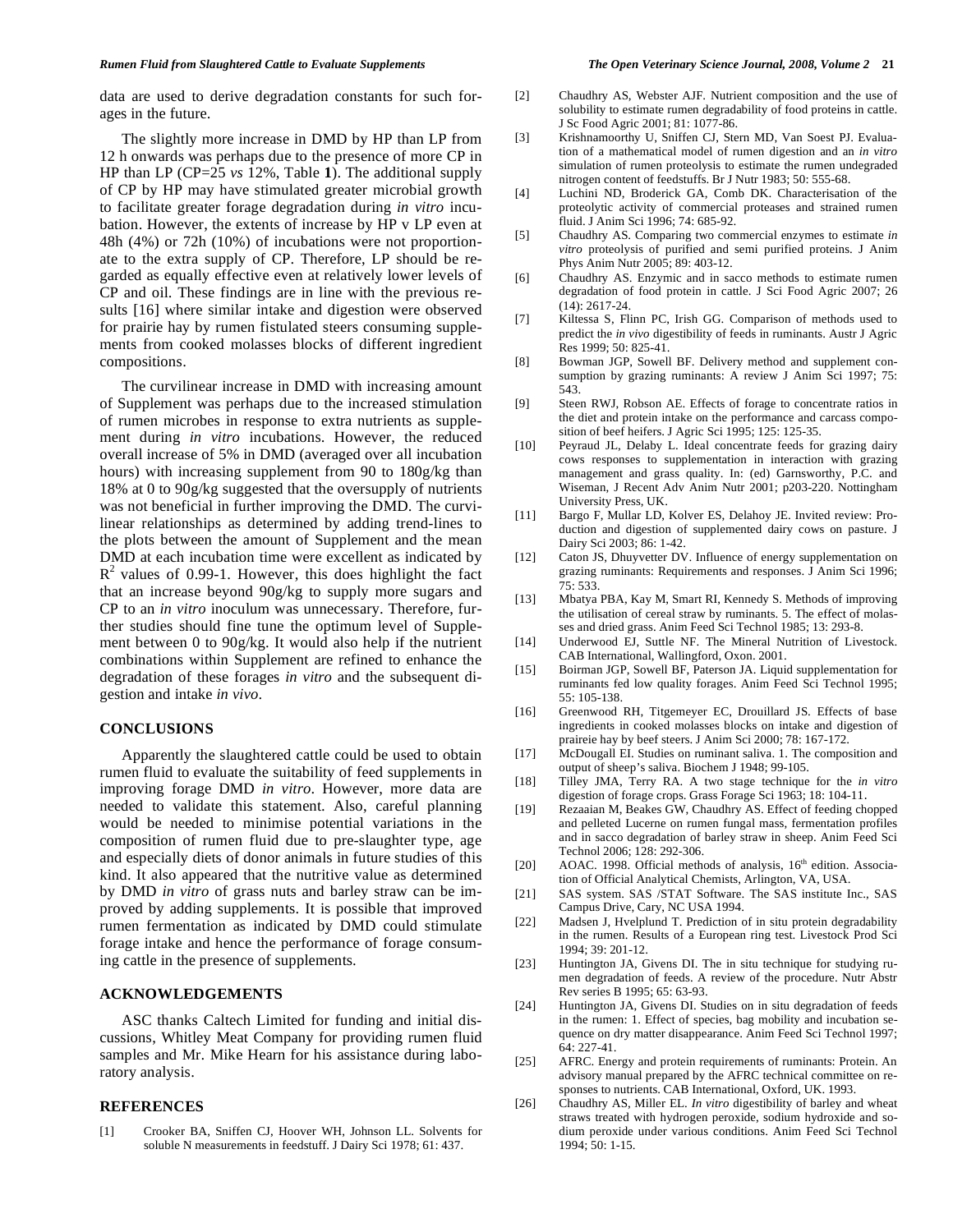data are used to derive degradation constants for such forages in the future.

 The slightly more increase in DMD by HP than LP from 12 h onwards was perhaps due to the presence of more CP in HP than LP (CP=25 *vs* 12%, Table **1**). The additional supply of CP by HP may have stimulated greater microbial growth to facilitate greater forage degradation during *in vitro* incubation. However, the extents of increase by HP v LP even at 48h (4%) or 72h (10%) of incubations were not proportionate to the extra supply of CP. Therefore, LP should be regarded as equally effective even at relatively lower levels of CP and oil. These findings are in line with the previous results [16] where similar intake and digestion were observed for prairie hay by rumen fistulated steers consuming supplements from cooked molasses blocks of different ingredient compositions.

 The curvilinear increase in DMD with increasing amount of Supplement was perhaps due to the increased stimulation of rumen microbes in response to extra nutrients as supplement during *in vitro* incubations. However, the reduced overall increase of 5% in DMD (averaged over all incubation hours) with increasing supplement from 90 to 180g/kg than 18% at 0 to 90g/kg suggested that the oversupply of nutrients was not beneficial in further improving the DMD. The curvilinear relationships as determined by adding trend-lines to the plots between the amount of Supplement and the mean DMD at each incubation time were excellent as indicated by  $R<sup>2</sup>$  values of 0.99-1. However, this does highlight the fact that an increase beyond 90g/kg to supply more sugars and CP to an *in vitro* inoculum was unnecessary. Therefore, further studies should fine tune the optimum level of Supplement between 0 to 90g/kg. It would also help if the nutrient combinations within Supplement are refined to enhance the degradation of these forages *in vitro* and the subsequent digestion and intake *in vivo*.

### **CONCLUSIONS**

 Apparently the slaughtered cattle could be used to obtain rumen fluid to evaluate the suitability of feed supplements in improving forage DMD *in vitro*. However, more data are needed to validate this statement. Also, careful planning would be needed to minimise potential variations in the composition of rumen fluid due to pre-slaughter type, age and especially diets of donor animals in future studies of this kind. It also appeared that the nutritive value as determined by DMD *in vitro* of grass nuts and barley straw can be improved by adding supplements. It is possible that improved rumen fermentation as indicated by DMD could stimulate forage intake and hence the performance of forage consuming cattle in the presence of supplements.

# **ACKNOWLEDGEMENTS**

 ASC thanks Caltech Limited for funding and initial discussions, Whitley Meat Company for providing rumen fluid samples and Mr. Mike Hearn for his assistance during laboratory analysis.

## **REFERENCES**

[1] Crooker BA, Sniffen CJ, Hoover WH, Johnson LL. Solvents for soluble N measurements in feedstuff. J Dairy Sci 1978; 61: 437.

- [2] Chaudhry AS, Webster AJF. Nutrient composition and the use of solubility to estimate rumen degradability of food proteins in cattle. J Sc Food Agric 2001; 81: 1077-86.
- [3] Krishnamoorthy U, Sniffen CJ, Stern MD, Van Soest PJ. Evaluation of a mathematical model of rumen digestion and an *in vitro* simulation of rumen proteolysis to estimate the rumen undegraded nitrogen content of feedstuffs. Br J Nutr 1983; 50: 555-68.
- [4] Luchini ND, Broderick GA, Comb DK. Characterisation of the proteolytic activity of commercial proteases and strained rumen fluid. J Anim Sci 1996; 74: 685-92.
- [5] Chaudhry AS. Comparing two commercial enzymes to estimate *in vitro* proteolysis of purified and semi purified proteins. J Anim Phys Anim Nutr 2005; 89: 403-12.
- [6] Chaudhry AS. Enzymic and in sacco methods to estimate rumen degradation of food protein in cattle. J Sci Food Agric 2007; 26 (14): 2617-24.
- [7] Kiltessa S, Flinn PC, Irish GG. Comparison of methods used to predict the *in vivo* digestibility of feeds in ruminants. Austr J Agric Res 1999; 50: 825-41.
- [8] Bowman JGP, Sowell BF. Delivery method and supplement consumption by grazing ruminants: A review J Anim Sci 1997; 75: 543.
- [9] Steen RWJ, Robson AE. Effects of forage to concentrate ratios in the diet and protein intake on the performance and carcass composition of beef heifers. J Agric Sci 1995; 125: 125-35.
- [10] Peyraud JL, Delaby L. Ideal concentrate feeds for grazing dairy cows responses to supplementation in interaction with grazing management and grass quality. In: (ed) Garnsworthy, P.C. and Wiseman, J Recent Adv Anim Nutr 2001; p203-220. Nottingham University Press, UK.
- [11] Bargo F, Mullar LD, Kolver ES, Delahoy JE. Invited review: Production and digestion of supplemented dairy cows on pasture. J Dairy Sci 2003; 86: 1-42.
- [12] Caton JS, Dhuyvetter DV. Influence of energy supplementation on grazing ruminants: Requirements and responses. J Anim Sci 1996; 75: 533.
- [13] Mbatya PBA, Kay M, Smart RI, Kennedy S. Methods of improving the utilisation of cereal straw by ruminants. 5. The effect of molasses and dried grass. Anim Feed Sci Technol 1985; 13: 293-8.
- [14] Underwood EJ, Suttle NF. The Mineral Nutrition of Livestock. CAB International, Wallingford, Oxon. 2001.
- [15] Boirman JGP, Sowell BF, Paterson JA. Liquid supplementation for ruminants fed low quality forages. Anim Feed Sci Technol 1995; 55: 105-138.
- [16] Greenwood RH, Titgemeyer EC, Drouillard JS. Effects of base ingredients in cooked molasses blocks on intake and digestion of praireie hay by beef steers. J Anim Sci 2000; 78: 167-172.
- [17] McDougall EI. Studies on ruminant saliva. 1. The composition and output of sheep's saliva. Biochem J 1948; 99-105.
- [18] Tilley JMA, Terry RA. A two stage technique for the *in vitro* digestion of forage crops. Grass Forage Sci 1963; 18: 104-11.
- [19] Rezaaian M, Beakes GW, Chaudhry AS. Effect of feeding chopped and pelleted Lucerne on rumen fungal mass, fermentation profiles and in sacco degradation of barley straw in sheep. Anim Feed Sci Technol 2006; 128: 292-306.
- [20] AOAC. 1998. Official methods of analysis,  $16<sup>th</sup>$  edition. Association of Official Analytical Chemists, Arlington, VA, USA.
- [21] SAS system. SAS /STAT Software. The SAS institute Inc., SAS Campus Drive, Cary, NC USA 1994.
- [22] Madsen J, Hvelplund T. Prediction of in situ protein degradability in the rumen. Results of a European ring test. Livestock Prod Sci 1994; 39: 201-12.
- [23] Huntington JA, Givens DI. The in situ technique for studying rumen degradation of feeds. A review of the procedure. Nutr Abstr Rev series B 1995; 65: 63-93.
- [24] Huntington JA, Givens DI. Studies on in situ degradation of feeds in the rumen: 1. Effect of species, bag mobility and incubation sequence on dry matter disappearance. Anim Feed Sci Technol 1997; 64: 227-41.
- [25] AFRC. Energy and protein requirements of ruminants: Protein. An advisory manual prepared by the AFRC technical committee on responses to nutrients. CAB International, Oxford, UK. 1993.
- [26] Chaudhry AS, Miller EL. *In vitro* digestibility of barley and wheat straws treated with hydrogen peroxide, sodium hydroxide and sodium peroxide under various conditions. Anim Feed Sci Technol 1994; 50: 1-15.